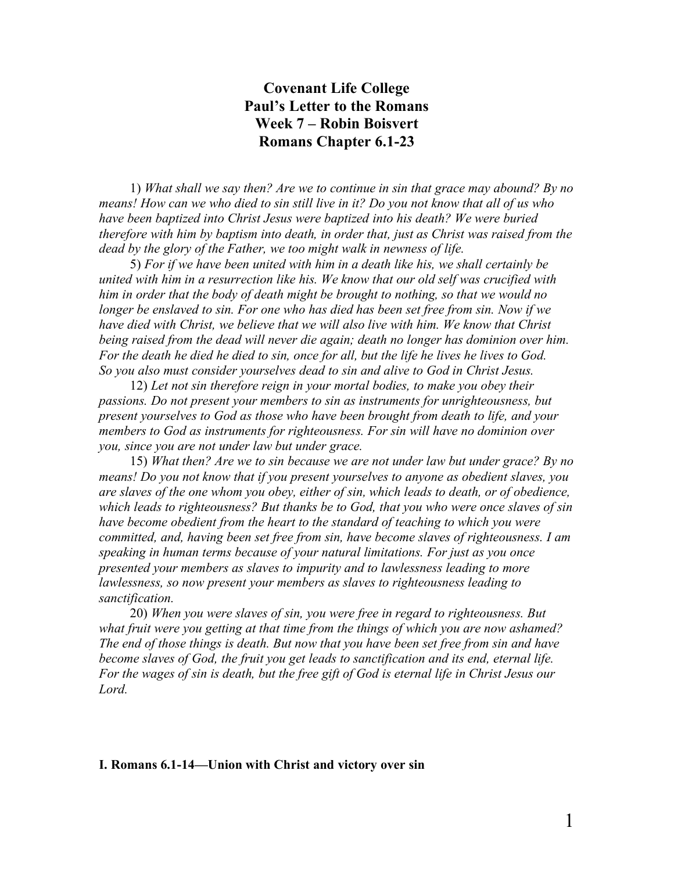## **Covenant Life College Paul's Letter to the Romans Week 7 – Robin Boisvert Romans Chapter 6.1-23**

1) *What shall we say then? Are we to continue in sin that grace may abound? By no means! How can we who died to sin still live in it? Do you not know that all of us who have been baptized into Christ Jesus were baptized into his death? We were buried therefore with him by baptism into death, in order that, just as Christ was raised from the dead by the glory of the Father, we too might walk in newness of life.*

5) *For if we have been united with him in a death like his, we shall certainly be united with him in a resurrection like his. We know that our old self was crucified with him in order that the body of death might be brought to nothing, so that we would no longer be enslaved to sin. For one who has died has been set free from sin. Now if we have died with Christ, we believe that we will also live with him. We know that Christ being raised from the dead will never die again; death no longer has dominion over him. For the death he died he died to sin, once for all, but the life he lives he lives to God. So you also must consider yourselves dead to sin and alive to God in Christ Jesus.*

12) *Let not sin therefore reign in your mortal bodies, to make you obey their passions. Do not present your members to sin as instruments for unrighteousness, but present yourselves to God as those who have been brought from death to life, and your members to God as instruments for righteousness. For sin will have no dominion over you, since you are not under law but under grace.*

15) *What then? Are we to sin because we are not under law but under grace? By no means! Do you not know that if you present yourselves to anyone as obedient slaves, you are slaves of the one whom you obey, either of sin, which leads to death, or of obedience, which leads to righteousness? But thanks be to God, that you who were once slaves of sin have become obedient from the heart to the standard of teaching to which you were committed, and, having been set free from sin, have become slaves of righteousness. I am speaking in human terms because of your natural limitations. For just as you once presented your members as slaves to impurity and to lawlessness leading to more lawlessness, so now present your members as slaves to righteousness leading to sanctification.*

20) *When you were slaves of sin, you were free in regard to righteousness. But what fruit were you getting at that time from the things of which you are now ashamed? The end of those things is death. But now that you have been set free from sin and have become slaves of God, the fruit you get leads to sanctification and its end, eternal life. For the wages of sin is death, but the free gift of God is eternal life in Christ Jesus our Lord.*

## **I. Romans 6.1-14—Union with Christ and victory over sin**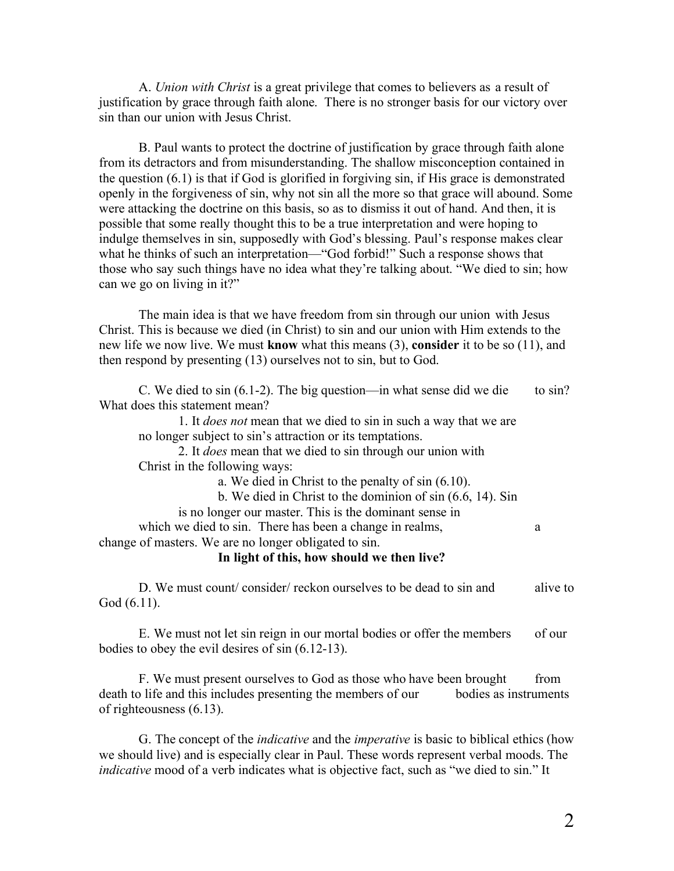A. *Union with Christ* is a great privilege that comes to believers as a result of justification by grace through faith alone. There is no stronger basis for our victory over sin than our union with Jesus Christ.

B. Paul wants to protect the doctrine of justification by grace through faith alone from its detractors and from misunderstanding. The shallow misconception contained in the question (6.1) is that if God is glorified in forgiving sin, if His grace is demonstrated openly in the forgiveness of sin, why not sin all the more so that grace will abound. Some were attacking the doctrine on this basis, so as to dismiss it out of hand. And then, it is possible that some really thought this to be a true interpretation and were hoping to indulge themselves in sin, supposedly with God's blessing. Paul's response makes clear what he thinks of such an interpretation—"God forbid!" Such a response shows that those who say such things have no idea what they're talking about. "We died to sin; how can we go on living in it?"

The main idea is that we have freedom from sin through our union with Jesus Christ. This is because we died (in Christ) to sin and our union with Him extends to the new life we now live. We must **know** what this means (3), **consider** it to be so (11), and then respond by presenting (13) ourselves not to sin, but to God.

C. We died to sin  $(6.1-2)$ . The big question—in what sense did we die to sin? What does this statement mean?

1. It *does not* mean that we died to sin in such a way that we are no longer subject to sin's attraction or its temptations.

2. It *does* mean that we died to sin through our union with

Christ in the following ways:

a. We died in Christ to the penalty of sin (6.10).

b. We died in Christ to the dominion of sin (6.6, 14). Sin

is no longer our master. This is the dominant sense in

which we died to sin. There has been a change in realms, a change of masters. We are no longer obligated to sin.

## **In light of this, how should we then live?**

D. We must count/ consider/ reckon ourselves to be dead to sin and alive to God (6.11).

E. We must not let sin reign in our mortal bodies or offer the members of our bodies to obey the evil desires of sin (6.12-13).

F. We must present ourselves to God as those who have been brought from death to life and this includes presenting the members of our bodies as instruments of righteousness (6.13).

G. The concept of the *indicative* and the *imperative* is basic to biblical ethics (how we should live) and is especially clear in Paul. These words represent verbal moods. The *indicative* mood of a verb indicates what is objective fact, such as "we died to sin." It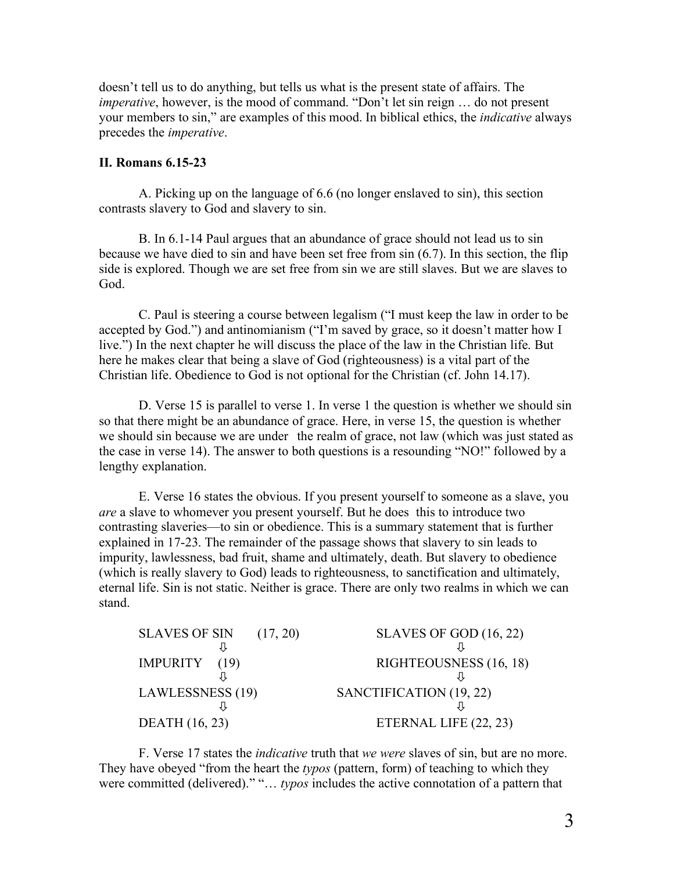doesn't tell us to do anything, but tells us what is the present state of affairs. The *imperative*, however, is the mood of command. "Don't let sin reign ... do not present your members to sin," are examples of this mood. In biblical ethics, the *indicative* always precedes the *imperative*.

## **II. Romans 6.15-23**

A. Picking up on the language of 6.6 (no longer enslaved to sin), this section contrasts slavery to God and slavery to sin.

B. In 6.1-14 Paul argues that an abundance of grace should not lead us to sin because we have died to sin and have been set free from sin (6.7). In this section, the flip side is explored. Though we are set free from sin we are still slaves. But we are slaves to God.

C. Paul is steering a course between legalism ("I must keep the law in order to be accepted by God.") and antinomianism ("I'm saved by grace, so it doesn't matter how I live.") In the next chapter he will discuss the place of the law in the Christian life. But here he makes clear that being a slave of God (righteousness) is a vital part of the Christian life. Obedience to God is not optional for the Christian (cf. John 14.17).

D. Verse 15 is parallel to verse 1. In verse 1 the question is whether we should sin so that there might be an abundance of grace. Here, in verse 15, the question is whether we should sin because we are under the realm of grace, not law (which was just stated as the case in verse 14). The answer to both questions is a resounding "NO!" followed by a lengthy explanation.

E. Verse 16 states the obvious. If you present yourself to someone as a slave, you *are* a slave to whomever you present yourself. But he does this to introduce two contrasting slaveries—to sin or obedience. This is a summary statement that is further explained in 17-23. The remainder of the passage shows that slavery to sin leads to impurity, lawlessness, bad fruit, shame and ultimately, death. But slavery to obedience (which is really slavery to God) leads to righteousness, to sanctification and ultimately, eternal life. Sin is not static. Neither is grace. There are only two realms in which we can stand.

| <b>SLAVES OF SIN</b><br>(17, 20) | SLAVES OF GOD $(16, 22)$ |
|----------------------------------|--------------------------|
|                                  |                          |
| IMPURITY (19)                    | RIGHTEOUSNESS (16, 18)   |
|                                  |                          |
| LAWLESSNESS (19)                 | SANCTIFICATION (19, 22)  |
|                                  |                          |
| DEATH (16, 23)                   | ETERNAL LIFE (22, 23)    |
|                                  |                          |

F. Verse 17 states the *indicative* truth that *we were* slaves of sin, but are no more. They have obeyed "from the heart the *typos* (pattern, form) of teaching to which they were committed (delivered)." "… *typos* includes the active connotation of a pattern that